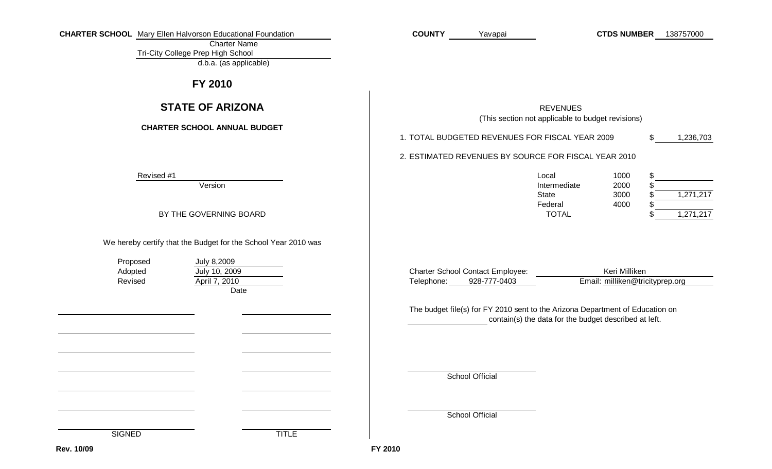|  | <b>CHARTER SCHOOL</b> Mary Ellen Halvorson Educational Foundation |
|--|-------------------------------------------------------------------|
|--|-------------------------------------------------------------------|

Charter Name Tri-City College Prep High School

d.b.a. (as applicable)

## **FY 2010**

## **STATE OF ARIZONA**

### **CHARTER SCHOOL ANNUAL BUDGET**

Revised #1

Version

BY THE GOVERNING BOARD

We hereby certify that the Budget for the School Year 2010 was

Proposed Adopted Revised

July 10, 2009 **Date** July 8,2009 April 7, 2010

Yavapai

REVENUES(This section not applicable to budget revisions)

**COUNTY CTDS NUMBER** 138757000

| 1. TOTAL BUDGETED REVENUES FOR FISCAL YEAR 2009 | 1,236,703 |
|-------------------------------------------------|-----------|
|                                                 |           |

2. ESTIMATED REVENUES BY SOURCE FOR FISCAL YEAR 2010

| Local        | 1000 |           |
|--------------|------|-----------|
| Intermediate | 2000 |           |
| State        | 3000 | 1,271,217 |
| Federal      | 4000 |           |
| <b>TOTAL</b> |      | 1.271.217 |

|            | <b>Charter School Contact Employee:</b> | Keri Milliken                   |  |  |  |  |
|------------|-----------------------------------------|---------------------------------|--|--|--|--|
| Telephone: | 928-777-0403                            | Email: milliken@tricityprep.org |  |  |  |  |

contain(s) the data for the budget described at left. The budget file(s) for FY 2010 sent to the Arizona Department of Education on

School Official

School Official

**SIGNED** 

**FY 2010**

**TITLE**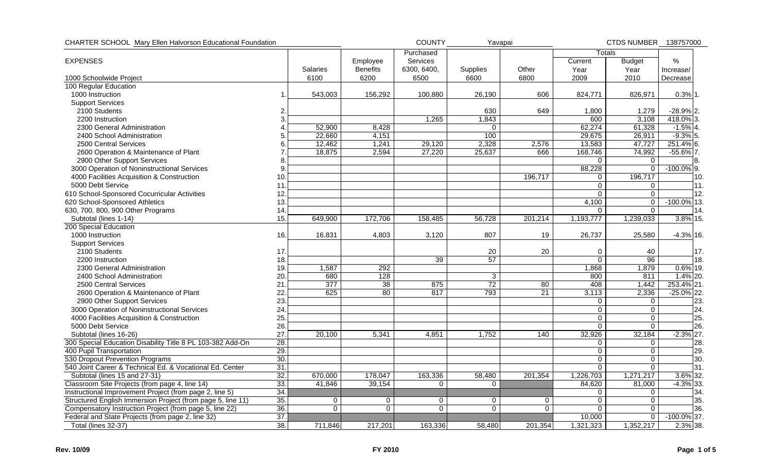| CHARTER SCHOOL Mary Ellen Halvorson Educational Foundation  |                 |             | <b>COUNTY</b>   | Yavapai     |             |          | CTDS NUMBER 138757000 |                |                |
|-------------------------------------------------------------|-----------------|-------------|-----------------|-------------|-------------|----------|-----------------------|----------------|----------------|
|                                                             |                 |             |                 | Purchased   |             |          | Totals                |                |                |
| <b>EXPENSES</b>                                             |                 |             | Employee        | Services    |             |          | Current               | <b>Budget</b>  | %              |
|                                                             |                 | Salaries    | <b>Benefits</b> | 6300, 6400, | Supplies    | Other    | Year                  | Year           | Increase/      |
| 1000 Schoolwide Project                                     |                 | 6100        | 6200            | 6500        | 6600        | 6800     | 2009                  | 2010           | Decrease       |
| 100 Regular Education                                       |                 |             |                 |             |             |          |                       |                |                |
| 1000 Instruction                                            | 1               | 543,003     | 156,292         | 100,880     | 26,190      | 606      | 824,771               | 826,971        | $0.3\%$ 1.     |
| <b>Support Services</b>                                     |                 |             |                 |             |             |          |                       |                |                |
| 2100 Students                                               |                 |             |                 |             | 630         | 649      | 1,800                 | 1,279          | $-28.9\%$ 2.   |
| 2200 Instruction                                            | 3               |             |                 | 1,265       | 1,843       |          | 600                   | 3,108          | 418.0% 3.      |
| 2300 General Administration                                 |                 | 52,900      | 8,428           |             | $\mathbf 0$ |          | 62,274                | 61,328         | $-1.5\%$ 4.    |
| 2400 School Administration                                  | 5               | 22,660      | 4,151           |             | 100         |          | 29,675                | 26,911         | $-9.3\%$ 5.    |
| 2500 Central Services                                       | 6               | 12,462      | 1,241           | 29,120      | 2,328       | 2,576    | 13,583                | 47,727         | $251.4\%$ 6.   |
| 2600 Operation & Maintenance of Plant                       |                 | 18,875      | 2,594           | 27,220      | 25,637      | 666      | 168,746               | 74,992         | $-55.6\%$ 7.   |
| 2900 Other Support Services                                 | 8               |             |                 |             |             |          | $\Omega$              | $\Omega$       | 8.             |
| 3000 Operation of Noninstructional Services                 | 9               |             |                 |             |             |          | 88,228                | $\overline{0}$ | $-100.0\%$ 9.  |
| 4000 Facilities Acquisition & Construction                  | 10 <sub>1</sub> |             |                 |             |             | 196,717  | 0                     | 196,717        | 10.            |
| 5000 Debt Service                                           | 11              |             |                 |             |             |          | $\mathbf 0$           | 0              | 11             |
| 610 School-Sponsored Cocurricular Activities                | 12.             |             |                 |             |             |          | $\Omega$              | $\mathbf 0$    | 12.            |
| 620 School-Sponsored Athletics                              | 13.             |             |                 |             |             |          | 4,100                 | 0              | $-100.0\%$ 13. |
| 630, 700, 800, 900 Other Programs                           | 14.             |             |                 |             |             |          | $\Omega$              | $\overline{0}$ | 14.            |
| Subtotal (lines 1-14)                                       | 15.             | 649.900     | 172,706         | 158,485     | 56,728      | 201,214  | 1,193,777             | 1,239,033      | 3.8% 15.       |
| 200 Special Education                                       |                 |             |                 |             |             |          |                       |                |                |
| 1000 Instruction                                            | 16.             | 16,831      | 4,803           | 3,120       | 807         | 19       | 26,737                | 25,580         | $-4.3\%$ 16.   |
| <b>Support Services</b>                                     |                 |             |                 |             |             |          |                       |                |                |
| 2100 Students                                               | 17 <sub>1</sub> |             |                 |             | 20          | 20       | $\mathbf 0$           | 40             | 17.            |
| 2200 Instruction                                            | 18.             |             |                 | 39          | 57          |          | $\mathbf 0$           | 96             | 18.            |
| 2300 General Administration                                 | 19.             | 1,587       | 292             |             |             |          | 1,868                 | 1,879          | $0.6\%$ 19.    |
| 2400 School Administration                                  | 20              | 680         | 128             |             | 3           |          | 800                   | 811            | $1.4\%$   20.  |
| 2500 Central Services                                       | 21              | 377         | 38              | 875         | 72          | 80       | 408                   | 1,442          | 253.4% 21.     |
| 2600 Operation & Maintenance of Plant                       | 22              | 625         | 80              | 817         | 793         | 21       | 3,113                 | 2,336          | $-25.0\%$ 22.  |
| 2900 Other Support Services                                 | 23.             |             |                 |             |             |          | 0                     | 0              | 23.            |
| 3000 Operation of Noninstructional Services                 | 24              |             |                 |             |             |          | $\mathbf 0$           | 0              | 24.            |
| 4000 Facilities Acquisition & Construction                  | 25.             |             |                 |             |             |          | $\overline{0}$        | 0              | 25.            |
| 5000 Debt Service                                           | 26.             |             |                 |             |             |          | $\Omega$              | $\Omega$       | 26.            |
| Subtotal (lines 16-26)                                      | 27              | 20,100      | 5,341           | 4,851       | 1,752       | 140      | 32,926                | 32,184         | $-2.3\%$ 27.   |
| 300 Special Education Disability Title 8 PL 103-382 Add-On  | 28.             |             |                 |             |             |          | $\mathbf{0}$          | 0              | 28.            |
| 400 Pupil Transportation                                    | 29.             |             |                 |             |             |          | $\mathbf 0$           | 0              | 29.            |
| 530 Dropout Prevention Programs                             | 30.             |             |                 |             |             |          | $\mathbf 0$           | $\Omega$       | 30.            |
| 540 Joint Career & Technical Ed. & Vocational Ed. Center    | 31.             |             |                 |             |             |          | $\overline{0}$        | $\overline{0}$ | 31.            |
| Subtotal (lines 15 and 27-31)                               | 32.             | 670,000     | 178,047         | 163,336     | 58,480      | 201,354  | 1,226,703             | 1,271,217      | 3.6% 32.       |
| Classroom Site Projects (from page 4, line 14)              | 33.             | 41,846      | 39,154          | $\mathbf 0$ | 0           |          | 84,620                | 81,000         | $-4.3\%$ 33.   |
| Instructional Improvement Project (from page 2, line 5)     | 34.             |             |                 |             |             |          | 0                     | 0              | 34.            |
| Structured English Immersion Project (from page 5, line 11) | 35.             | $\mathbf 0$ | 0               | $\mathbf 0$ | 0           | 0        | $\mathbf{0}$          | $\mathbf 0$    | 35.            |
| Compensatory Instruction Project (from page 5, line 22)     | 36.             | 0           | $\Omega$        | 0           | 0           | $\Omega$ | $\Omega$              | 0              | 36.            |
| Federal and State Projects (from page 2, line 32)           | $\overline{37}$ |             |                 |             |             |          | 10,000                | 0              | $-100.0\%$ 37. |
| Total (lines 32-37)                                         | 38.             | 711,846     | 217,201         | 163,336     | 58,480      | 201,354  | 1,321,323             | 1,352,217      | 2.3% 38.       |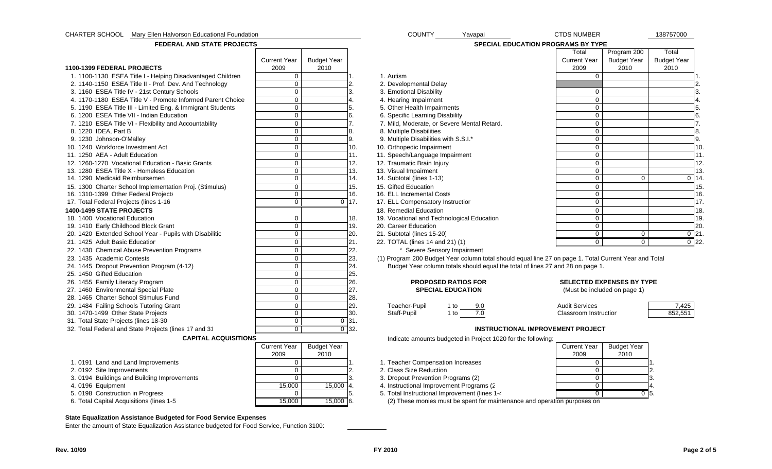| CHARTER SCHOOL Mary Ellen Halvorson Educational Foundation |                     |                    |                    | COUNTY<br>Yavapai                                                                                     | <b>CTDS NUMBER</b>    |                                  | 138757000          |
|------------------------------------------------------------|---------------------|--------------------|--------------------|-------------------------------------------------------------------------------------------------------|-----------------------|----------------------------------|--------------------|
| <b>FEDERAL AND STATE PROJECTS</b>                          |                     |                    |                    | SPECIAL EDUCATION PROGRAMS BY TYPE                                                                    |                       |                                  |                    |
|                                                            |                     |                    |                    |                                                                                                       | Total                 | Program 200                      | Total              |
|                                                            | <b>Current Year</b> | <b>Budget Year</b> |                    |                                                                                                       | <b>Current Year</b>   | <b>Budget Year</b>               | <b>Budget Year</b> |
| 1100-1399 FEDERAL PROJECTS                                 | 2009                | 2010               |                    |                                                                                                       | 2009                  | 2010                             | 2010               |
| 1. 1100-1130 ESEA Title I - Helping Disadvantaged Children | $\mathbf 0$         |                    |                    | 1. Autism                                                                                             | $\mathbf 0$           |                                  |                    |
| 2. 1140-1150 ESEA Title II - Prof. Dev. And Technology     | $\mathsf{O}\xspace$ |                    | 2.                 | 2. Developmental Delay                                                                                |                       |                                  | 2.                 |
| 3. 1160 ESEA Title IV - 21st Century Schools               | $\mathbf 0$         |                    |                    | 3. Emotional Disability                                                                               | 0                     |                                  | 3.                 |
| 4. 1170-1180 ESEA Title V - Promote Informed Parent Choice | $\mathbf 0$         |                    |                    | 4. Hearing Impairment                                                                                 | $\mathbf 0$           |                                  | $\overline{4}$     |
| 5. 1190 ESEA Title III - Limited Eng. & Immigrant Students | $\mathbf 0$         |                    |                    | 5. Other Health Impairments                                                                           | $\mathbf 0$           |                                  | 5.                 |
| 6. 1200 ESEA Title VII - Indian Education                  | $\overline{0}$      |                    | 6.                 | 6. Specific Learning Disability                                                                       | $\overline{0}$        |                                  | 6.                 |
| 7. 1210 ESEA Title VI - Flexibility and Accountability     | $\mathbf 0$         |                    |                    | 7. Mild, Moderate, or Severe Mental Retard.                                                           | $\mathbf 0$           |                                  | $\overline{7}$ .   |
| 8. 1220 IDEA, Part B                                       | $\mathbf 0$         |                    |                    | 8. Multiple Disabilities                                                                              | $\mathbf 0$           |                                  | 8.                 |
| 9. 1230 Johnson-O'Malley                                   | $\mathsf{O}\xspace$ |                    | 9.                 | 9. Multiple Disabilities with S.S.I.*                                                                 | $\mathbf 0$           |                                  | 9.                 |
| 10. 1240 Workforce Investment Act                          | $\mathbf 0$         |                    | 10.                | 10. Orthopedic Impairment                                                                             | $\mathbf 0$           |                                  | 10                 |
| 11. 1250 AEA - Adult Education                             | $\mathbf 0$         |                    | 11.                | 11. Speech/Language Impairment                                                                        | $\mathbf 0$           |                                  | 11.                |
| 12. 1260-1270 Vocational Education - Basic Grants          | $\mathbf 0$         |                    | 12.                | 12. Traumatic Brain Injury                                                                            | $\mathbf 0$           |                                  | 12                 |
| 13. 1280 ESEA Title X - Homeless Education                 | $\mathbf 0$         |                    | 13.                | 13. Visual Impairment                                                                                 | $\mathbf 0$           |                                  | 13                 |
| 14. 1290 Medicaid Reimbursemen                             | $\mathbf 0$         |                    | 14.                | 14. Subtotal (lines 1-13)                                                                             | $\mathbf 0$           | $\Omega$                         | $0 \mid 14$        |
| 15. 1300 Charter School Implementation Proj. (Stimulus)    | $\pmb{0}$           |                    | 15.                | 15. Gifted Education                                                                                  | $\mathbf 0$           |                                  | 15                 |
| 16. 1310-1399 Other Federal Projects                       | $\overline{0}$      |                    | 16.                | 16. ELL Incremental Costs                                                                             | $\overline{0}$        |                                  | 16                 |
| 17. Total Federal Projects (lines 1-16                     | $\overline{0}$      |                    | $\overline{0}$ 17. | 17. ELL Compensatory Instructior                                                                      | $\overline{0}$        |                                  | 17                 |
| 1400-1499 STATE PROJECTS                                   |                     |                    |                    | 18. Remedial Education                                                                                | $\mathbf 0$           |                                  | 18                 |
| 18. 1400 Vocational Education                              | $\mathbf 0$         |                    | 18.                | 19. Vocational and Technological Education                                                            | $\mathbf 0$           |                                  | 19                 |
| 19. 1410 Early Childhood Block Grant                       | $\mathbf 0$         |                    | 19.                | 20. Career Education                                                                                  | $\mathbf 0$           |                                  | 20                 |
| 20. 1420 Extended School Year - Pupils with Disabilitie    | $\mathbf 0$         |                    | 20.                | 21. Subtotal (lines 15-20)                                                                            | $\mathbf 0$           | $\Omega$                         | $0 \,   21$        |
| 21. 1425 Adult Basic Educatior                             | $\mathbf 0$         |                    | 21.                | 22. TOTAL (lines 14 and 21) (1)                                                                       | $\mathbf 0$           | $\mathbf 0$                      | $0$ 22             |
| 22. 1430 Chemical Abuse Prevention Programs                | $\mathbf 0$         |                    | 22.                | * Severe Sensory Impairment                                                                           |                       |                                  |                    |
| 23. 1435 Academic Contests                                 | $\mathbf 0$         |                    | 23.                | (1) Program 200 Budget Year column total should equal line 27 on page 1. Total Current Year and Total |                       |                                  |                    |
| 24. 1445 Dropout Prevention Program (4-12)                 | $\mathbf 0$         |                    | 24.                | Budget Year column totals should equal the total of lines 27 and 28 on page 1.                        |                       |                                  |                    |
| 25. 1450 Gifted Education                                  | $\mathbf 0$         |                    | 25.                |                                                                                                       |                       |                                  |                    |
| 26. 1455 Family Literacy Program                           | $\mathbf 0$         |                    | 26.                | <b>PROPOSED RATIOS FOR</b>                                                                            |                       | <b>SELECTED EXPENSES BY TYPE</b> |                    |
| 27. 1460 Environmental Special Plate                       | $\mathsf{O}\xspace$ |                    | 27.                | <b>SPECIAL EDUCATION</b>                                                                              |                       | (Must be included on page 1)     |                    |
| 28. 1465 Charter School Stimulus Fund                      | $\mathbf 0$         |                    | 28.                |                                                                                                       |                       |                                  |                    |
| 29. 1484 Failing Schools Tutoring Grant                    | $\mathbf 0$         |                    | 29.                | Teacher-Pupil<br>1 to<br>9.0                                                                          | <b>Audit Services</b> |                                  | 7,425              |
| 30. 1470-1499 Other State Projects                         | $\mathbf 0$         |                    | 30.                | 7.0<br>$1$ to<br>Staff-Pupil                                                                          | Classroom Instructior |                                  | 852,551            |
| 31. Total State Projects (lines 18-30                      | $\overline{0}$      |                    | $\overline{0}$ 31. |                                                                                                       |                       |                                  |                    |
| 32. Total Federal and State Projects (lines 17 and 31      | $\overline{0}$      |                    | $\overline{0}$ 32. | <b>INSTRUCTIONAL IMPROVEMENT PROJECT</b>                                                              |                       |                                  |                    |
| <b>CAPITAL ACQUISITIONS</b>                                |                     |                    |                    | Indicate amounts budgeted in Project 1020 for the following:                                          |                       |                                  |                    |
|                                                            | <b>Current Year</b> | <b>Budget Year</b> |                    |                                                                                                       | <b>Current Year</b>   | <b>Budget Year</b>               |                    |
|                                                            | 2009                | 2010               |                    |                                                                                                       | 2009                  | 2010                             |                    |
| 1.0191 Land and Land Improvements                          | $\mathbf 0$         |                    |                    | 1. Teacher Compensation Increases                                                                     | $\mathbf 0$           |                                  |                    |
| 2. 0192 Site Improvements                                  | $\mathbf 0$         |                    | $\overline{2}$     | 2. Class Size Reduction                                                                               | $\mathbf 0$           |                                  | $\overline{2}$     |
| 3. 0194 Buildings and Building Improvements                | $\mathbf 0$         |                    |                    | 3. Dropout Prevention Programs (2)                                                                    | $\mathbf 0$           |                                  |                    |
| 4. 0196 Equipment                                          | 15,000              | 15,000             | 4.                 | 4. Instructional Improvement Programs (2                                                              | $\mathbf{0}$          |                                  |                    |
| 5. 0198 Construction in Progress                           | $\mathbf{0}$        |                    |                    | 5. Total Instructional Improvement (lines 1-4                                                         | $\overline{0}$        | $0\,$ 5.                         |                    |
| 6. Total Capital Acquisitions (lines 1-5                   | 15.000              | 15,000 6.          |                    | (2) These monies must be spent for maintenance and operation purposes on                              |                       |                                  |                    |
|                                                            |                     |                    |                    |                                                                                                       |                       |                                  |                    |

#### **State Equalization Assistance Budgeted for Food Service Expenses**

Enter the amount of State Equalization Assistance budgeted for Food Service, Function 3100: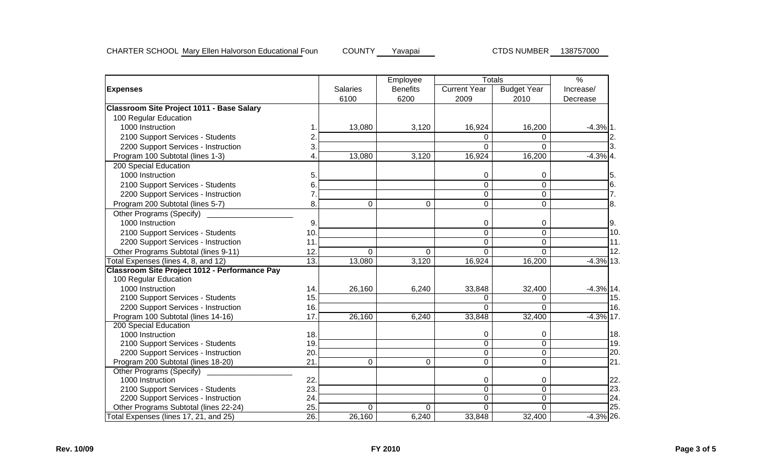|                                                      |                   |                 | Employee        |                     | <b>Totals</b>      | $\frac{9}{6}$ |
|------------------------------------------------------|-------------------|-----------------|-----------------|---------------------|--------------------|---------------|
| <b>Expenses</b>                                      |                   | <b>Salaries</b> | <b>Benefits</b> | <b>Current Year</b> | <b>Budget Year</b> | Increase/     |
|                                                      |                   | 6100            | 6200            | 2009                | 2010               | Decrease      |
| <b>Classroom Site Project 1011 - Base Salary</b>     |                   |                 |                 |                     |                    |               |
| 100 Regular Education                                |                   |                 |                 |                     |                    |               |
| 1000 Instruction                                     |                   | 13,080          | 3,120           | 16,924              | 16,200             | $-4.3\%$ 1.   |
| 2100 Support Services - Students                     | 2                 |                 |                 | 0                   | $\Omega$           | 2.            |
| 2200 Support Services - Instruction                  | 3.                |                 |                 | $\Omega$            | 0                  | 3.            |
| Program 100 Subtotal (lines 1-3)                     | 4.                | 13,080          | 3,120           | 16,924              | 16,200             | $-4.3\%$ 4.   |
| 200 Special Education                                |                   |                 |                 |                     |                    |               |
| 1000 Instruction                                     | 5.                |                 |                 | 0                   | 0                  | 5.            |
| 2100 Support Services - Students                     | 6.                |                 |                 | 0                   | $\mathbf 0$        | 16.           |
| 2200 Support Services - Instruction                  | $\overline{7}$    |                 |                 | $\mathbf 0$         | $\mathbf 0$        | 7.            |
| Program 200 Subtotal (lines 5-7)                     | 8.                | 0               | $\Omega$        | $\mathbf 0$         | 0                  | 8.            |
| <b>Other Programs (Specify)</b>                      |                   |                 |                 |                     |                    |               |
| 1000 Instruction                                     | 9.                |                 |                 | 0                   | 0                  | 9.            |
| 2100 Support Services - Students                     | 10.               |                 |                 | 0                   | 0                  | 10.           |
| 2200 Support Services - Instruction                  | 11.               |                 |                 | 0                   | 0                  | 11.           |
| Other Programs Subtotal (lines 9-11)                 | 12.               | 0               | $\Omega$        | $\mathbf 0$         | $\Omega$           | 12.           |
| Total Expenses (lines 4, 8, and 12)                  | 13.               | 13,080          | 3,120           | 16,924              | 16,200             | $-4.3\%$ 13.  |
| <b>Classroom Site Project 1012 - Performance Pay</b> |                   |                 |                 |                     |                    |               |
| 100 Regular Education                                |                   |                 |                 |                     |                    |               |
| 1000 Instruction                                     | 14.               | 26,160          | 6,240           | 33,848              | 32,400             | $-4.3%$ 14.   |
| 2100 Support Services - Students                     | 15.               |                 |                 | 0                   | 0                  | 15.           |
| 2200 Support Services - Instruction                  | 16.               |                 |                 | $\Omega$            | 0                  | 16.           |
| Program 100 Subtotal (lines 14-16)                   | 17.               | 26,160          | 6,240           | 33,848              | 32,400             | $-4.3\%$ 17.  |
| 200 Special Education                                |                   |                 |                 |                     |                    |               |
| 1000 Instruction                                     | 18.               |                 |                 | 0                   | 0                  | 18.           |
| 2100 Support Services - Students                     | 19.               |                 |                 | $\overline{0}$      | $\overline{0}$     | 19.           |
| 2200 Support Services - Instruction                  | 20.               |                 |                 | 0                   | $\overline{0}$     | 20.           |
| Program 200 Subtotal (lines 18-20)                   | 21.               | 0               | 0               | 0                   | 0                  | 21.           |
| <b>Other Programs (Specify)</b>                      |                   |                 |                 |                     |                    |               |
| 1000 Instruction                                     | 22.               |                 |                 | $\Omega$            | 0                  | 22            |
| 2100 Support Services - Students                     | 23.               |                 |                 | $\overline{0}$      | $\overline{0}$     | 23            |
| 2200 Support Services - Instruction                  | 24.               |                 |                 | 0                   | 0                  | 24.           |
| Other Programs Subtotal (lines 22-24)                | 25.               | $\Omega$        | $\Omega$        | $\Omega$            | $\Omega$           | 25.           |
| Total Expenses (lines 17, 21, and 25)                | $\overline{26}$ . | 26,160          | 6,240           | 33,848              | 32,400             | $-4.3\%$ 26.  |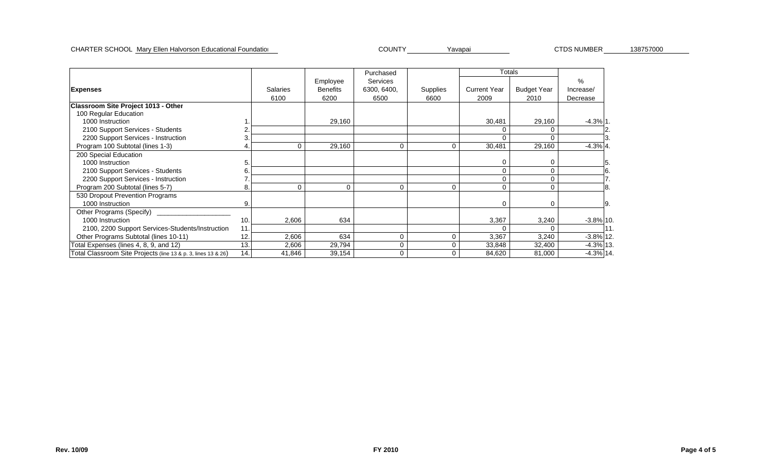#### CHARTER SCHOOL Mary Ellen Halvorson Educational Foundation Nation Youth Mary COUNTY Yavapai National CTDS NUMBER 138757000

CTDS NUMBER

|                                                               |     |                 |                 | Purchased   |          |                     | Totals             |              |    |
|---------------------------------------------------------------|-----|-----------------|-----------------|-------------|----------|---------------------|--------------------|--------------|----|
|                                                               |     |                 | Employee        | Services    |          |                     |                    | $\%$         |    |
| <b>Expenses</b>                                               |     | <b>Salaries</b> | <b>Benefits</b> | 6300, 6400, | Supplies | <b>Current Year</b> | <b>Budget Year</b> | Increase/    |    |
|                                                               |     | 6100            | 6200            | 6500        | 6600     | 2009                | 2010               | Decrease     |    |
| Classroom Site Project 1013 - Other                           |     |                 |                 |             |          |                     |                    |              |    |
| 100 Regular Education                                         |     |                 |                 |             |          |                     |                    |              |    |
| 1000 Instruction                                              |     |                 | 29,160          |             |          | 30,481              | 29,160             | $-4.3%$ 1.   |    |
| 2100 Support Services - Students                              |     |                 |                 |             |          |                     | ∩                  |              |    |
| 2200 Support Services - Instruction                           |     |                 |                 |             |          |                     |                    |              |    |
| Program 100 Subtotal (lines 1-3)                              | 4.  | 0               | 29,160          | $\Omega$    |          | 30,481              | 29,160             | $-4.3%$ 4.   |    |
| 200 Special Education                                         |     |                 |                 |             |          |                     |                    |              |    |
| 1000 Instruction                                              | 5   |                 |                 |             |          |                     | 0                  |              |    |
| 2100 Support Services - Students                              | 6   |                 |                 |             |          | 0                   | 0                  |              |    |
| 2200 Support Services - Instruction                           |     |                 |                 |             |          |                     | 0                  |              |    |
| Program 200 Subtotal (lines 5-7)                              | 8.  | $\Omega$        | $\Omega$        | $\Omega$    |          | 0                   | $\Omega$           |              |    |
| 530 Dropout Prevention Programs                               |     |                 |                 |             |          |                     |                    |              |    |
| 1000 Instruction                                              | 9.  |                 |                 |             |          | 0                   | 0                  |              | 9. |
| Other Programs (Specify)                                      |     |                 |                 |             |          |                     |                    |              |    |
| 1000 Instruction                                              | 10. | 2,606           | 634             |             |          | 3,367               | 3,240              | $-3.8\%$ 10  |    |
| 2100, 2200 Support Services-Students/Instruction              | 11  |                 |                 |             |          |                     |                    |              |    |
| Other Programs Subtotal (lines 10-11)                         | 12. | 2,606           | 634             | $\Omega$    | 0        | 3,367               | 3,240              | $-3.8\%$ 12  |    |
| Total Expenses (lines 4, 8, 9, and 12)                        | 13. | 2,606           | 29,794          | $\Omega$    |          | 33,848              | 32,400             | $-4.3\%$ 13. |    |
| Total Classroom Site Projects (line 13 & p. 3, lines 13 & 26) | 14. | 41,846          | 39,154          | $\Omega$    |          | 84,620              | 81,000             | $-4.3\%$ 14. |    |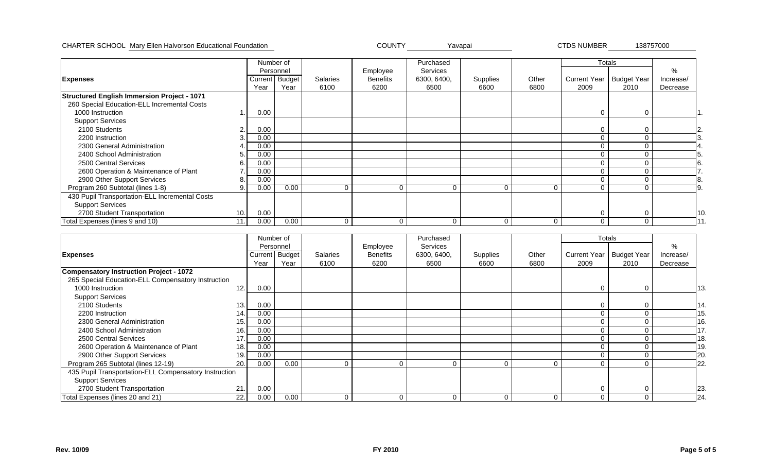CHARTER SCHOOL Mary Ellen Halvorson Educational Foundation National Website: Network COUNTY Yavapai Navari Yavapai

CTDS NUMBER

138757000

|                                                    |                |      | Number of      |                 |                 | Purchased       |          |             | Totals |                            |           |     |
|----------------------------------------------------|----------------|------|----------------|-----------------|-----------------|-----------------|----------|-------------|--------|----------------------------|-----------|-----|
|                                                    |                |      | Personnel      |                 | Employee        | <b>Services</b> |          |             |        |                            | %         |     |
| <b>Expenses</b>                                    |                |      | Current Budget | <b>Salaries</b> | <b>Benefits</b> | 6300, 6400,     | Supplies | Other       |        | Current Year   Budget Year | Increase/ |     |
|                                                    |                | Year | Year           | 6100            | 6200            | 6500            | 6600     | 6800        | 2009   | 2010                       | Decrease  |     |
| <b>Structured English Immersion Project - 1071</b> |                |      |                |                 |                 |                 |          |             |        |                            |           |     |
| 260 Special Education-ELL Incremental Costs        |                |      |                |                 |                 |                 |          |             |        |                            |           |     |
| 1000 Instruction                                   |                | 0.00 |                |                 |                 |                 |          |             |        | 0                          |           |     |
| <b>Support Services</b>                            |                |      |                |                 |                 |                 |          |             |        |                            |           |     |
| 2100 Students                                      | $\overline{2}$ | 0.00 |                |                 |                 |                 |          |             |        |                            |           | 2   |
| 2200 Instruction                                   | 3.             | 0.00 |                |                 |                 |                 |          |             |        | 0                          |           |     |
| 2300 General Administration                        |                | 0.00 |                |                 |                 |                 |          |             |        |                            |           |     |
| 2400 School Administration                         | 5.             | 0.00 |                |                 |                 |                 |          |             |        |                            |           |     |
| 2500 Central Services                              | 6.             | 0.00 |                |                 |                 |                 |          |             |        | $\Omega$                   |           |     |
| 2600 Operation & Maintenance of Plant              |                | 0.00 |                |                 |                 |                 |          |             |        |                            |           |     |
| 2900 Other Support Services                        | 8.             | 0.00 |                |                 |                 |                 |          |             |        |                            |           |     |
| Program 260 Subtotal (lines 1-8)                   | 9.             | 0.00 | 0.00           |                 | 0               | C               |          | $\mathbf 0$ |        | 0                          |           |     |
| 430 Pupil Transportation-ELL Incremental Costs     |                |      |                |                 |                 |                 |          |             |        |                            |           |     |
| <b>Support Services</b>                            |                |      |                |                 |                 |                 |          |             |        |                            |           |     |
| 2700 Student Transportation                        | 10.            | 0.00 |                |                 |                 |                 |          |             |        | C                          |           | 10. |
| Total Expenses (lines 9 and 10)                    | 11.            | 0.00 | 0.00           | $\Omega$        | $\Omega$        |                 |          | $\mathbf 0$ |        | 0                          |           |     |

|                                                       | Number of |      |                |                 |                 | Purchased       |          |          | Totals       |                    |           |     |
|-------------------------------------------------------|-----------|------|----------------|-----------------|-----------------|-----------------|----------|----------|--------------|--------------------|-----------|-----|
|                                                       |           |      | Personnel      |                 | Employee        | <b>Services</b> |          |          |              |                    | %         |     |
| <b>Expenses</b>                                       |           |      | Current Budget | <b>Salaries</b> | <b>Benefits</b> | 6300, 6400,     | Supplies | Other    | Current Year | <b>Budget Year</b> | Increase/ |     |
|                                                       |           | Year | Year           | 6100            | 6200            | 6500            | 6600     | 6800     | 2009         | 2010               | Decrease  |     |
| <b>Compensatory Instruction Project - 1072</b>        |           |      |                |                 |                 |                 |          |          |              |                    |           |     |
| 265 Special Education-ELL Compensatory Instruction    |           |      |                |                 |                 |                 |          |          |              |                    |           |     |
| 1000 Instruction                                      | 12.       | 0.00 |                |                 |                 |                 |          |          |              | $\Omega$           |           | 13. |
| <b>Support Services</b>                               |           |      |                |                 |                 |                 |          |          |              |                    |           |     |
| 2100 Students                                         | 13.       | 0.00 |                |                 |                 |                 |          |          |              | 0                  |           | 14. |
| 2200 Instruction                                      | 14.       | 0.00 |                |                 |                 |                 |          |          |              | 0                  |           | 15  |
| 2300 General Administration                           | 15.       | 0.00 |                |                 |                 |                 |          |          |              | 0                  |           | 16. |
| 2400 School Administration                            | 16.       | 0.00 |                |                 |                 |                 |          |          |              |                    |           |     |
| 2500 Central Services                                 | 17.       | 0.00 |                |                 |                 |                 |          |          |              | 0                  |           | 18. |
| 2600 Operation & Maintenance of Plant                 | 18.       | 0.00 |                |                 |                 |                 |          |          |              | 0                  |           | 19. |
| 2900 Other Support Services                           | 19.       | 0.00 |                |                 |                 |                 |          |          |              | 0                  |           | 20. |
| Program 265 Subtotal (lines 12-19)                    | 20.       | 0.00 | 0.00           | $\mathbf 0$     | 0               | $\Omega$        | $\Omega$ | $\Omega$ |              | $\Omega$           |           | 22. |
| 435 Pupil Transportation-ELL Compensatory Instruction |           |      |                |                 |                 |                 |          |          |              |                    |           |     |
| <b>Support Services</b>                               |           |      |                |                 |                 |                 |          |          |              |                    |           |     |
| 2700 Student Transportation                           | 21.       | 0.00 |                |                 |                 |                 |          |          |              | 0                  |           | 23. |
| Total Expenses (lines 20 and 21)                      | 22.1      | 0.00 | 0.00           | $\Omega$        | $\Omega$        | $\Omega$        | $\Omega$ | $\Omega$ |              | 0                  |           | 24. |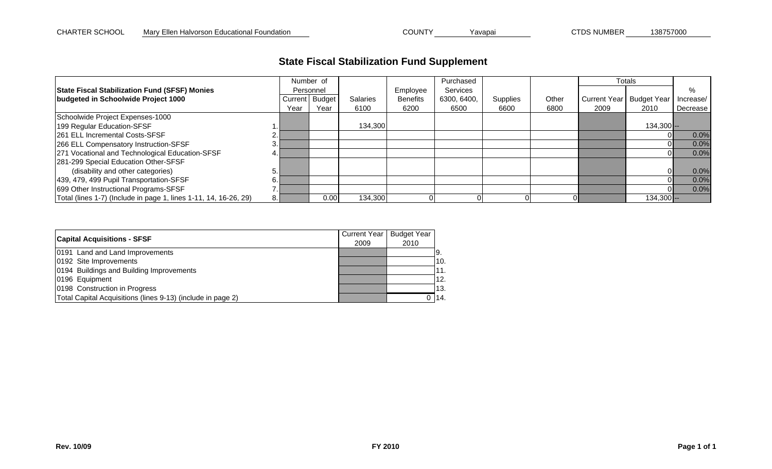# **State Fiscal Stabilization Fund Supplement**

|                                                                  |      | Number of      |                 |                 | Purchased   |          |       | Totals |                            |            |
|------------------------------------------------------------------|------|----------------|-----------------|-----------------|-------------|----------|-------|--------|----------------------------|------------|
| <b>State Fiscal Stabilization Fund (SFSF) Monies</b>             |      | Personnel      |                 | Employee        | Services    |          |       |        |                            | %          |
| budgeted in Schoolwide Project 1000                              |      | Current Budget | <b>Salaries</b> | <b>Benefits</b> | 6300, 6400, | Supplies | Other |        | Current Year   Budget Year | Increase/  |
|                                                                  | Year | Year           | 6100            | 6200            | 6500        | 6600     | 6800  | 2009   | 2010                       | Decrease I |
| Schoolwide Project Expenses-1000                                 |      |                |                 |                 |             |          |       |        |                            |            |
| 199 Regular Education-SFSF                                       |      |                | 134,300         |                 |             |          |       |        | $134,300$ --               |            |
| <b>261 ELL Incremental Costs-SFSF</b>                            |      |                |                 |                 |             |          |       |        |                            | 0.0%       |
| 266 ELL Compensatory Instruction-SFSF                            |      |                |                 |                 |             |          |       |        |                            | 0.0%       |
| 271 Vocational and Technological Education-SFSF                  |      |                |                 |                 |             |          |       |        |                            | 0.0%       |
| 281-299 Special Education Other-SFSF                             |      |                |                 |                 |             |          |       |        |                            |            |
| (disability and other categories)                                |      |                |                 |                 |             |          |       |        | Οl                         | 0.0%       |
| 439, 479, 499 Pupil Transportation-SFSF                          |      |                |                 |                 |             |          |       |        |                            | 0.0%       |
| 699 Other Instructional Programs-SFSF                            |      |                |                 |                 |             |          |       |        |                            | 0.0%       |
| Total (lines 1-7) (Include in page 1, lines 1-11, 14, 16-26, 29) |      | 0.00           | 134,300         |                 |             |          |       |        | $134,300$ --               |            |

| <b>Capital Acquisitions - SFSF</b>                          | Current Year | <b>Budget Year</b> |      |
|-------------------------------------------------------------|--------------|--------------------|------|
|                                                             | 2009         | 2010               |      |
| 0191 Land and Land Improvements                             |              |                    | 19.  |
| 0192 Site Improvements                                      |              |                    | 10.  |
| 0194 Buildings and Building Improvements                    |              |                    | l11. |
| 0196 Equipment                                              |              |                    | 12.  |
| 0198 Construction in Progress                               |              |                    | l13. |
| Total Capital Acquisitions (lines 9-13) (include in page 2) |              | 0                  | 114. |